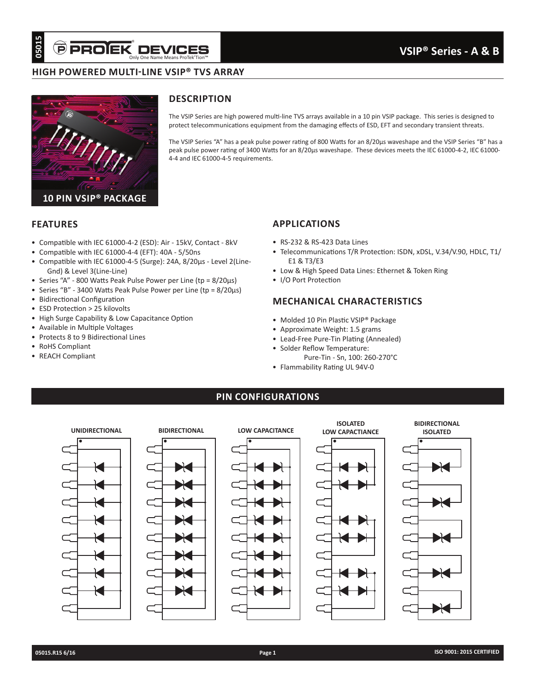# **HIGH POWERED MULTI-LINE VSIP® TVS ARRAY**



# **DESCRIPTION**

The VSIP Series are high powered multi-line TVS arrays available in a 10 pin VSIP package. This series is designed to protect telecommunications equipment from the damaging effects of ESD, EFT and secondary transient threats.

The VSIP Series "A" has a peak pulse power rating of 800 Watts for an 8/20µs waveshape and the VSIP Series "B" has a peak pulse power rating of 3400 Watts for an 8/20µs waveshape. These devices meets the IEC 61000-4-2, IEC 61000- 4-4 and IEC 61000-4-5 requirements.

#### **FEATURES**

- Compatible with IEC 61000-4-2 (ESD): Air 15kV, Contact 8kV
- Compatible with IEC 61000-4-4 (EFT): 40A 5/50ns
- Compatible with IEC 61000-4-5 (Surge): 24A, 8/20µs Level 2(Line-Gnd) & Level 3(Line-Line)
- Series "A" 800 Watts Peak Pulse Power per Line (tp = 8/20µs)
- Series "B" 3400 Watts Peak Pulse Power per Line (tp = 8/20µs)
- Bidirectional Configuration
- ESD Protection > 25 kilovolts
- High Surge Capability & Low Capacitance Option
- Available in Multiple Voltages
- Protects 8 to 9 Bidirectional Lines
- RoHS Compliant
- REACH Compliant

### **APPLICATIONS**

- RS-232 & RS-423 Data Lines
- Telecommunications T/R Protection: ISDN, xDSL, V.34/V.90, HDLC, T1/ E1 & T3/E3
- Low & High Speed Data Lines: Ethernet & Token Ring
- I/O Port Protection

### **MECHANICAL CHARACTERISTICS**

- Molded 10 Pin Plastic VSIP® Package
- Approximate Weight: 1.5 grams
- Lead-Free Pure-Tin Plating (Annealed)
- Solder Reflow Temperature:
- Pure-Tin Sn, 100: 260-270°C
- Flammability Rating UL 94V-0

### **PIN CONFIGURATIONS**

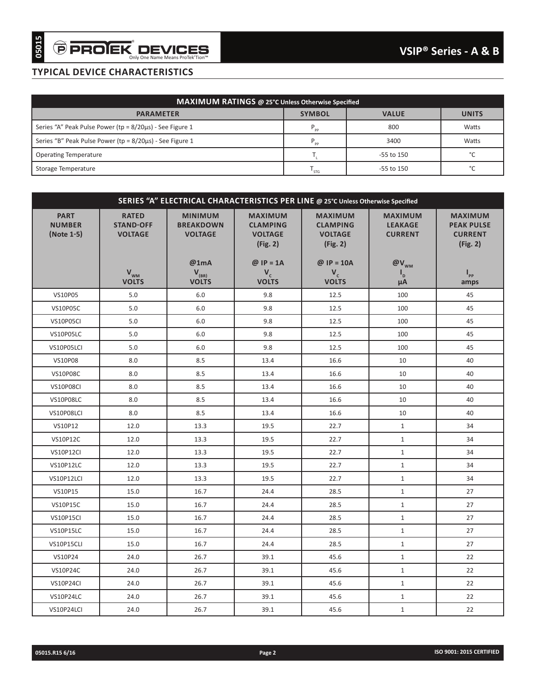| MAXIMUM RATINGS @ 25°C Unless Otherwise Specified        |                 |                |              |  |  |  |  |
|----------------------------------------------------------|-----------------|----------------|--------------|--|--|--|--|
| <b>PARAMETER</b>                                         | <b>SYMBOL</b>   | <b>VALUE</b>   | <b>UNITS</b> |  |  |  |  |
| Series "A" Peak Pulse Power (tp = 8/20us) - See Figure 1 | $P_{_{\sf pp}}$ | 800            | Watts        |  |  |  |  |
| Series "B" Peak Pulse Power (tp = 8/20µs) - See Figure 1 | $P_{\rm pop}$   | 3400           | Watts        |  |  |  |  |
| <b>Operating Temperature</b>                             |                 | $-55$ to $150$ | $\sim$       |  |  |  |  |
| Storage Temperature                                      | <b>STG</b>      | -55 to 150     | $\sim$       |  |  |  |  |

|                                            | <b>TYPICAL DEVICE CHARACTERISTICS</b>                    |                                                                                  |                                                                                |                                                                                 |                                                                    |                                                                   |
|--------------------------------------------|----------------------------------------------------------|----------------------------------------------------------------------------------|--------------------------------------------------------------------------------|---------------------------------------------------------------------------------|--------------------------------------------------------------------|-------------------------------------------------------------------|
|                                            |                                                          |                                                                                  | <b>MAXIMUM RATINGS @ 25°C Unless Otherwise Specified</b>                       |                                                                                 |                                                                    |                                                                   |
|                                            | <b>PARAMETER</b>                                         |                                                                                  |                                                                                | <b>SYMBOL</b>                                                                   | <b>VALUE</b>                                                       | <b>UNITS</b>                                                      |
|                                            | Series "A" Peak Pulse Power (tp = 8/20us) - See Figure 1 |                                                                                  |                                                                                | $P_{\text{pp}}$                                                                 | 800                                                                | Watts                                                             |
|                                            | Series "B" Peak Pulse Power (tp = 8/20us) - See Figure 1 |                                                                                  |                                                                                | $\mathsf{P}_{\underset{\smile}{\mathsf{pp}}}$                                   | 3400                                                               | Watts                                                             |
| <b>Operating Temperature</b>               |                                                          |                                                                                  |                                                                                | $\mathsf{T}_{\mathsf{L}}$                                                       | -55 to 150                                                         | °C                                                                |
| Storage Temperature                        |                                                          |                                                                                  |                                                                                | $T_{STG}$                                                                       | -55 to 150                                                         | $^{\circ}{\rm C}$                                                 |
|                                            |                                                          |                                                                                  |                                                                                |                                                                                 |                                                                    |                                                                   |
|                                            |                                                          | SERIES "A" ELECTRICAL CHARACTERISTICS PER LINE @ 25°C Unless Otherwise Specified |                                                                                |                                                                                 |                                                                    |                                                                   |
| <b>PART</b><br><b>NUMBER</b><br>(Note 1-5) | <b>RATED</b><br><b>STAND-OFF</b><br><b>VOLTAGE</b>       | <b>MINIMUM</b><br><b>BREAKDOWN</b><br><b>VOLTAGE</b><br>@1mA                     | <b>MAXIMUM</b><br><b>CLAMPING</b><br><b>VOLTAGE</b><br>(Fig. 2)<br>$@$ IP = 1A | <b>MAXIMUM</b><br><b>CLAMPING</b><br><b>VOLTAGE</b><br>(Fig. 2)<br>@ $IP = 10A$ | <b>MAXIMUM</b><br><b>LEAKAGE</b><br><b>CURRENT</b><br>$@V_{_{WM}}$ | <b>MAXIMUM</b><br><b>PEAK PULSE</b><br><b>CURRENT</b><br>(Fig. 2) |
|                                            | $V_{WM}$<br><b>VOLTS</b>                                 | $V_{(BR)}$<br><b>VOLTS</b>                                                       | $V_c$<br><b>VOLTS</b>                                                          | $V_c$<br><b>VOLTS</b>                                                           | $\mathsf{I}_{\mathsf{D}}$                                          | $\mathbf{I}_{\mathsf{pp}}$                                        |
| VS10P05                                    | 5.0                                                      | 6.0                                                                              | 9.8                                                                            | 12.5                                                                            | $\mu$ A<br>100                                                     | amps<br>45                                                        |
| <b>VS10P05C</b>                            | 5.0                                                      | 6.0                                                                              | 9.8                                                                            | 12.5                                                                            | 100                                                                | 45                                                                |
| VS10P05CI                                  | 5.0                                                      | 6.0                                                                              | 9.8                                                                            | 12.5                                                                            | 100                                                                | 45                                                                |
| VS10P05LC                                  | 5.0                                                      | 6.0                                                                              | 9.8                                                                            | 12.5                                                                            | 100                                                                | 45                                                                |
| VS10P05LCI                                 | 5.0                                                      | 6.0                                                                              | 9.8                                                                            | 12.5                                                                            | 100                                                                | 45                                                                |
| <b>VS10P08</b>                             | 8.0                                                      | 8.5                                                                              | 13.4                                                                           | 16.6                                                                            | 10                                                                 | 40                                                                |
| <b>VS10P08C</b>                            | 8.0                                                      | 8.5                                                                              | 13.4                                                                           | 16.6                                                                            | 10                                                                 | 40                                                                |
| VS10P08CI                                  | 8.0                                                      | 8.5                                                                              | 13.4                                                                           | 16.6                                                                            | 10                                                                 | 40                                                                |
| <b>VS10P08LC</b>                           | 8.0                                                      | 8.5                                                                              | 13.4                                                                           | 16.6                                                                            | 10                                                                 | 40                                                                |
| VS10P08LCI                                 | 8.0                                                      | 8.5                                                                              | 13.4                                                                           | 16.6                                                                            | 10                                                                 | 40                                                                |
| VS10P12                                    | 12.0                                                     | 13.3                                                                             | 19.5                                                                           | 22.7                                                                            | $\mathbf{1}$                                                       | 34                                                                |
| <b>VS10P12C</b>                            | 12.0                                                     | 13.3                                                                             | 19.5                                                                           | 22.7                                                                            | $\mathbf{1}$                                                       | 34                                                                |
| VS10P12CI                                  | 12.0                                                     | 13.3                                                                             | 19.5                                                                           | 22.7                                                                            | $\mathbf{1}$                                                       | 34                                                                |
| VS10P12LC                                  | 12.0                                                     | 13.3                                                                             | 19.5                                                                           | 22.7                                                                            | $\mathbf{1}$                                                       | 34                                                                |
| VS10P12LCI                                 | 12.0                                                     | 13.3                                                                             | 19.5                                                                           | 22.7                                                                            | $\mathbf{1}$                                                       | 34                                                                |
| VS10P15                                    | 15.0                                                     | 16.7                                                                             | 24.4                                                                           | 28.5                                                                            | $\mathbf{1}$                                                       | 27                                                                |
| <b>VS10P15C</b>                            | 15.0                                                     | 16.7                                                                             | 24.4                                                                           | 28.5                                                                            | $\mathbf{1}$                                                       | 27                                                                |
| VS10P15CI                                  | 15.0                                                     | 16.7                                                                             | 24.4                                                                           | 28.5                                                                            | $\mathbf{1}$                                                       | 27                                                                |
| VS10P15LC                                  | 15.0                                                     | 16.7                                                                             | 24.4                                                                           | 28.5                                                                            | $\mathbf{1}$                                                       | 27                                                                |
| VS10P15CLI                                 | 15.0                                                     | 16.7                                                                             | 24.4                                                                           | 28.5                                                                            | $\mathbf{1}$                                                       | 27                                                                |
| VS10P24                                    | 24.0                                                     | 26.7                                                                             | 39.1                                                                           | 45.6                                                                            | $\mathbf{1}$                                                       | 22                                                                |
| <b>VS10P24C</b>                            | 24.0                                                     | 26.7                                                                             | 39.1                                                                           | 45.6                                                                            | $\mathbf{1}$                                                       | 22                                                                |
| VS10P24CI<br>VS10P24LC                     | 24.0<br>24.0                                             | 26.7<br>26.7                                                                     | 39.1<br>39.1                                                                   | 45.6<br>45.6                                                                    | $\mathbf{1}$<br>$\mathbf{1}$                                       | 22<br>22                                                          |
| VS10P24LCI                                 | 24.0                                                     | 26.7                                                                             | 39.1                                                                           | 45.6                                                                            | $\mathbf{1}$                                                       | 22                                                                |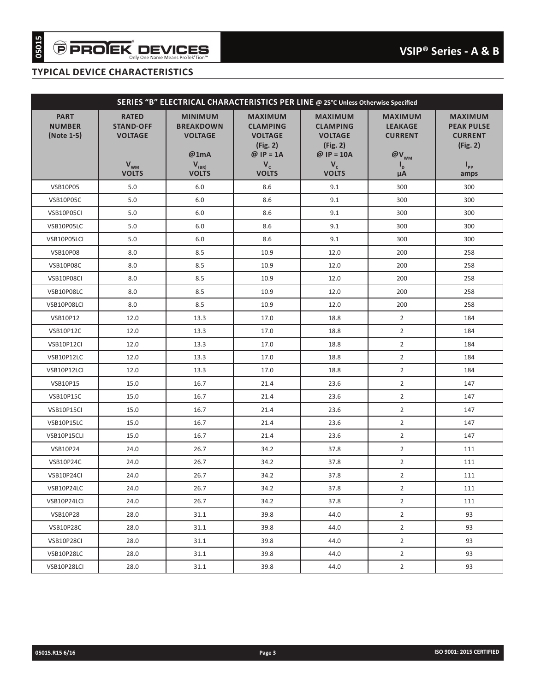| SERIES "B" ELECTRICAL CHARACTERISTICS PER LINE @ 25°C Unless Otherwise Specified |                                                                                |                                                                                            |                                                                                                         |                                                                                                          |                                                                                                 |                                                                                               |  |  |
|----------------------------------------------------------------------------------|--------------------------------------------------------------------------------|--------------------------------------------------------------------------------------------|---------------------------------------------------------------------------------------------------------|----------------------------------------------------------------------------------------------------------|-------------------------------------------------------------------------------------------------|-----------------------------------------------------------------------------------------------|--|--|
| <b>PART</b><br><b>NUMBER</b><br>(Note 1-5)                                       | <b>RATED</b><br><b>STAND-OFF</b><br><b>VOLTAGE</b><br>$V_{wm}$<br><b>VOLTS</b> | <b>MINIMUM</b><br><b>BREAKDOWN</b><br><b>VOLTAGE</b><br>@1mA<br>$V_{(BR)}$<br><b>VOLTS</b> | <b>MAXIMUM</b><br><b>CLAMPING</b><br><b>VOLTAGE</b><br>(Fig. 2)<br>$@$ IP = 1A<br>$V_c$<br><b>VOLTS</b> | <b>MAXIMUM</b><br><b>CLAMPING</b><br><b>VOLTAGE</b><br>(Fig. 2)<br>@ $IP = 10A$<br>$V_c$<br><b>VOLTS</b> | <b>MAXIMUM</b><br><b>LEAKAGE</b><br><b>CURRENT</b><br>$@V_{_{WM}}$<br>ı <sub>d</sub><br>$\mu$ A | <b>MAXIMUM</b><br><b>PEAK PULSE</b><br><b>CURRENT</b><br>(Fig. 2)<br>$\mathbf{I}_{\text{pp}}$ |  |  |
| <b>VSB10P05</b>                                                                  | 5.0                                                                            | 6.0                                                                                        | 8.6                                                                                                     | 9.1                                                                                                      | 300                                                                                             | amps<br>300                                                                                   |  |  |
| VSB10P05C                                                                        | 5.0                                                                            | 6.0                                                                                        | 8.6                                                                                                     | 9.1                                                                                                      | 300                                                                                             | 300                                                                                           |  |  |
| VSB10P05CI                                                                       | 5.0                                                                            | 6.0                                                                                        | 8.6                                                                                                     | 9.1                                                                                                      | 300                                                                                             | 300                                                                                           |  |  |
| VSB10P05LC                                                                       | 5.0                                                                            | 6.0                                                                                        | 8.6                                                                                                     | 9.1                                                                                                      | 300                                                                                             | 300                                                                                           |  |  |
| VSB10P05LCI                                                                      | 5.0                                                                            | 6.0                                                                                        | 8.6                                                                                                     | 9.1                                                                                                      | 300                                                                                             | 300                                                                                           |  |  |
| <b>VSB10P08</b>                                                                  | 8.0                                                                            | 8.5                                                                                        | 10.9                                                                                                    | 12.0                                                                                                     | 200                                                                                             | 258                                                                                           |  |  |
| VSB10P08C                                                                        | 8.0                                                                            | 8.5                                                                                        | 10.9                                                                                                    | 12.0                                                                                                     | 200                                                                                             | 258                                                                                           |  |  |
| VSB10P08CI                                                                       | 8.0                                                                            | 8.5                                                                                        | 10.9                                                                                                    | 12.0                                                                                                     | 200                                                                                             | 258                                                                                           |  |  |
| VSB10P08LC                                                                       | 8.0                                                                            | 8.5                                                                                        | 10.9                                                                                                    | 12.0                                                                                                     | 200                                                                                             | 258                                                                                           |  |  |
| VSB10P08LCI                                                                      | 8.0                                                                            | 8.5                                                                                        | 10.9                                                                                                    | 12.0                                                                                                     | 200                                                                                             | 258                                                                                           |  |  |
| <b>VSB10P12</b>                                                                  | 12.0                                                                           | 13.3                                                                                       | 17.0                                                                                                    | 18.8                                                                                                     | $\overline{2}$                                                                                  | 184                                                                                           |  |  |
| <b>VSB10P12C</b>                                                                 | 12.0                                                                           | 13.3                                                                                       | 17.0                                                                                                    | 18.8                                                                                                     | $\overline{2}$                                                                                  | 184                                                                                           |  |  |
| VSB10P12CI                                                                       | 12.0                                                                           | 13.3                                                                                       | 17.0                                                                                                    | 18.8                                                                                                     | $\overline{2}$                                                                                  | 184                                                                                           |  |  |
| VSB10P12LC                                                                       | 12.0                                                                           | 13.3                                                                                       | 17.0                                                                                                    | 18.8                                                                                                     | $\overline{2}$                                                                                  | 184                                                                                           |  |  |
| VSB10P12LCI                                                                      | 12.0                                                                           | 13.3                                                                                       | 17.0                                                                                                    | 18.8                                                                                                     | $\overline{2}$                                                                                  | 184                                                                                           |  |  |
| <b>VSB10P15</b>                                                                  | 15.0                                                                           | 16.7                                                                                       | 21.4                                                                                                    | 23.6                                                                                                     | $\overline{2}$                                                                                  | 147                                                                                           |  |  |
| <b>VSB10P15C</b>                                                                 | 15.0                                                                           | 16.7                                                                                       | 21.4                                                                                                    | 23.6                                                                                                     | $\overline{2}$                                                                                  | 147                                                                                           |  |  |
| VSB10P15CI                                                                       | 15.0                                                                           | 16.7                                                                                       | 21.4                                                                                                    | 23.6                                                                                                     | $\overline{2}$                                                                                  | 147                                                                                           |  |  |
| VSB10P15LC                                                                       | 15.0                                                                           | 16.7                                                                                       | 21.4                                                                                                    | 23.6                                                                                                     | $\overline{2}$                                                                                  | 147                                                                                           |  |  |
| VSB10P15CLI                                                                      | 15.0                                                                           | 16.7                                                                                       | 21.4                                                                                                    | 23.6                                                                                                     | $\overline{2}$                                                                                  | 147                                                                                           |  |  |
| VSB10P24                                                                         | 24.0                                                                           | 26.7                                                                                       | 34.2                                                                                                    | 37.8                                                                                                     | $\overline{2}$                                                                                  | 111                                                                                           |  |  |
| <b>VSB10P24C</b>                                                                 | 24.0                                                                           | 26.7                                                                                       | 34.2                                                                                                    | 37.8                                                                                                     | $\overline{2}$                                                                                  | 111                                                                                           |  |  |
| VSB10P24CI                                                                       | 24.0                                                                           | 26.7                                                                                       | 34.2                                                                                                    | 37.8                                                                                                     | $\overline{2}$                                                                                  | 111                                                                                           |  |  |
| VSB10P24LC                                                                       | 24.0                                                                           | 26.7                                                                                       | 34.2                                                                                                    | 37.8                                                                                                     | $\overline{2}$                                                                                  | 111                                                                                           |  |  |
| VSB10P24LCI                                                                      | 24.0                                                                           | 26.7                                                                                       | 34.2                                                                                                    | 37.8                                                                                                     | $\overline{2}$                                                                                  | 111                                                                                           |  |  |
| <b>VSB10P28</b>                                                                  | 28.0                                                                           | 31.1                                                                                       | 39.8                                                                                                    | 44.0                                                                                                     | $\overline{2}$                                                                                  | 93                                                                                            |  |  |
| <b>VSB10P28C</b>                                                                 | 28.0                                                                           | 31.1                                                                                       | 39.8                                                                                                    | 44.0                                                                                                     | $\overline{2}$                                                                                  | 93                                                                                            |  |  |
| VSB10P28CI                                                                       | 28.0                                                                           | 31.1                                                                                       | 39.8                                                                                                    | 44.0                                                                                                     | $\overline{2}$                                                                                  | 93                                                                                            |  |  |
| VSB10P28LC                                                                       | 28.0                                                                           | 31.1                                                                                       | 39.8                                                                                                    | 44.0                                                                                                     | $\overline{2}$                                                                                  | 93                                                                                            |  |  |
| VSB10P28LCI                                                                      | 28.0                                                                           | 31.1                                                                                       | 39.8                                                                                                    | 44.0                                                                                                     | $\overline{2}$                                                                                  | 93                                                                                            |  |  |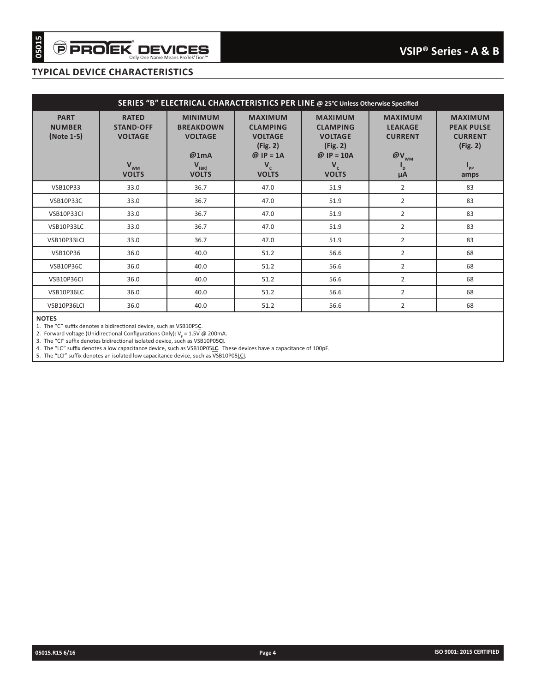|                                                                                  | <b>TYPICAL DEVICE CHARACTERISTICS</b>                                                      |                                                                                                                                                                                                                                                                                              |                                                                                                         |                                                                                                          |                                                                                                       |                                                                                                       |  |  |  |
|----------------------------------------------------------------------------------|--------------------------------------------------------------------------------------------|----------------------------------------------------------------------------------------------------------------------------------------------------------------------------------------------------------------------------------------------------------------------------------------------|---------------------------------------------------------------------------------------------------------|----------------------------------------------------------------------------------------------------------|-------------------------------------------------------------------------------------------------------|-------------------------------------------------------------------------------------------------------|--|--|--|
| SERIES "B" ELECTRICAL CHARACTERISTICS PER LINE @ 25°C Unless Otherwise Specified |                                                                                            |                                                                                                                                                                                                                                                                                              |                                                                                                         |                                                                                                          |                                                                                                       |                                                                                                       |  |  |  |
| <b>PART</b><br><b>NUMBER</b><br>(Note 1-5)                                       | <b>RATED</b><br><b>STAND-OFF</b><br><b>VOLTAGE</b><br>$\mathbf{V}_{_{WM}}$<br><b>VOLTS</b> | <b>MINIMUM</b><br><b>BREAKDOWN</b><br><b>VOLTAGE</b><br>@1mA<br>$V_{(BR)}$<br><b>VOLTS</b>                                                                                                                                                                                                   | <b>MAXIMUM</b><br><b>CLAMPING</b><br><b>VOLTAGE</b><br>(Fig. 2)<br>$@$ IP = 1A<br>$V_c$<br><b>VOLTS</b> | <b>MAXIMUM</b><br><b>CLAMPING</b><br><b>VOLTAGE</b><br>(Fig. 2)<br>$@$ IP = 10A<br>$V_c$<br><b>VOLTS</b> | <b>MAXIMUM</b><br><b>LEAKAGE</b><br><b>CURRENT</b><br>$@V_{_{WM}}$<br>$\mathsf{I}_{\mathsf{D}}$<br>μA | <b>MAXIMUM</b><br><b>PEAK PULSE</b><br><b>CURRENT</b><br>(Fig. 2)<br>$\mathbf{I}_{\text{pp}}$<br>amps |  |  |  |
| VSB10P33                                                                         | 33.0                                                                                       | 36.7                                                                                                                                                                                                                                                                                         | 47.0                                                                                                    | 51.9                                                                                                     | $\overline{2}$                                                                                        | 83                                                                                                    |  |  |  |
| <b>VSB10P33C</b>                                                                 | 33.0                                                                                       | 36.7                                                                                                                                                                                                                                                                                         | 47.0                                                                                                    | 51.9                                                                                                     | $\overline{2}$                                                                                        | 83                                                                                                    |  |  |  |
| VSB10P33CI                                                                       | 33.0                                                                                       | 36.7                                                                                                                                                                                                                                                                                         | 47.0                                                                                                    | 51.9                                                                                                     | $\overline{2}$                                                                                        | 83                                                                                                    |  |  |  |
| VSB10P33LC                                                                       | 33.0                                                                                       | 36.7                                                                                                                                                                                                                                                                                         | 47.0                                                                                                    | 51.9                                                                                                     | $\overline{2}$                                                                                        | 83                                                                                                    |  |  |  |
| VSB10P33LCI                                                                      | 33.0                                                                                       | 36.7                                                                                                                                                                                                                                                                                         | 47.0                                                                                                    | 51.9                                                                                                     | $\overline{2}$                                                                                        | 83                                                                                                    |  |  |  |
| <b>VSB10P36</b>                                                                  | 36.0                                                                                       | 40.0                                                                                                                                                                                                                                                                                         | 51.2                                                                                                    | 56.6                                                                                                     | $\overline{2}$                                                                                        | 68                                                                                                    |  |  |  |
| <b>VSB10P36C</b>                                                                 | 36.0                                                                                       | 40.0                                                                                                                                                                                                                                                                                         | 51.2                                                                                                    | 56.6                                                                                                     | $\overline{2}$                                                                                        | 68                                                                                                    |  |  |  |
| VSB10P36CI                                                                       | 36.0                                                                                       | 40.0                                                                                                                                                                                                                                                                                         | 51.2                                                                                                    | 56.6                                                                                                     | $\overline{2}$                                                                                        | 68                                                                                                    |  |  |  |
| VSB10P36LC                                                                       | 36.0                                                                                       | 40.0                                                                                                                                                                                                                                                                                         | 51.2                                                                                                    | 56.6                                                                                                     | $\overline{2}$                                                                                        | 68                                                                                                    |  |  |  |
| VSB10P36LCI                                                                      | 36.0                                                                                       | 40.0                                                                                                                                                                                                                                                                                         | 51.2                                                                                                    | 56.6                                                                                                     | $\overline{2}$                                                                                        | 68                                                                                                    |  |  |  |
|                                                                                  |                                                                                            | 3. The "CI" suffix denotes bidirectional isolated device, such as VSB10P05CI.<br>4. The "LC" suffix denotes a low capacitance device, such as VSB10P05LC. These devices have a capacitance of 100pF.<br>5. The "LCI" suffix denotes an isolated low capacitance device, such as VSB10P05LCI. |                                                                                                         |                                                                                                          |                                                                                                       |                                                                                                       |  |  |  |
|                                                                                  |                                                                                            |                                                                                                                                                                                                                                                                                              |                                                                                                         |                                                                                                          |                                                                                                       |                                                                                                       |  |  |  |
|                                                                                  |                                                                                            |                                                                                                                                                                                                                                                                                              |                                                                                                         |                                                                                                          |                                                                                                       |                                                                                                       |  |  |  |
|                                                                                  |                                                                                            |                                                                                                                                                                                                                                                                                              |                                                                                                         |                                                                                                          |                                                                                                       |                                                                                                       |  |  |  |
|                                                                                  |                                                                                            |                                                                                                                                                                                                                                                                                              |                                                                                                         |                                                                                                          |                                                                                                       |                                                                                                       |  |  |  |
|                                                                                  |                                                                                            |                                                                                                                                                                                                                                                                                              |                                                                                                         |                                                                                                          |                                                                                                       |                                                                                                       |  |  |  |
|                                                                                  |                                                                                            |                                                                                                                                                                                                                                                                                              |                                                                                                         |                                                                                                          |                                                                                                       |                                                                                                       |  |  |  |
|                                                                                  |                                                                                            |                                                                                                                                                                                                                                                                                              |                                                                                                         |                                                                                                          |                                                                                                       |                                                                                                       |  |  |  |
|                                                                                  |                                                                                            |                                                                                                                                                                                                                                                                                              |                                                                                                         |                                                                                                          |                                                                                                       |                                                                                                       |  |  |  |
|                                                                                  |                                                                                            |                                                                                                                                                                                                                                                                                              |                                                                                                         |                                                                                                          |                                                                                                       |                                                                                                       |  |  |  |
|                                                                                  |                                                                                            |                                                                                                                                                                                                                                                                                              |                                                                                                         |                                                                                                          |                                                                                                       |                                                                                                       |  |  |  |
|                                                                                  |                                                                                            |                                                                                                                                                                                                                                                                                              |                                                                                                         |                                                                                                          |                                                                                                       |                                                                                                       |  |  |  |
|                                                                                  |                                                                                            |                                                                                                                                                                                                                                                                                              |                                                                                                         |                                                                                                          |                                                                                                       |                                                                                                       |  |  |  |
|                                                                                  |                                                                                            |                                                                                                                                                                                                                                                                                              |                                                                                                         |                                                                                                          |                                                                                                       |                                                                                                       |  |  |  |
|                                                                                  |                                                                                            |                                                                                                                                                                                                                                                                                              |                                                                                                         |                                                                                                          |                                                                                                       |                                                                                                       |  |  |  |
|                                                                                  |                                                                                            |                                                                                                                                                                                                                                                                                              |                                                                                                         |                                                                                                          |                                                                                                       |                                                                                                       |  |  |  |
|                                                                                  |                                                                                            |                                                                                                                                                                                                                                                                                              |                                                                                                         |                                                                                                          |                                                                                                       |                                                                                                       |  |  |  |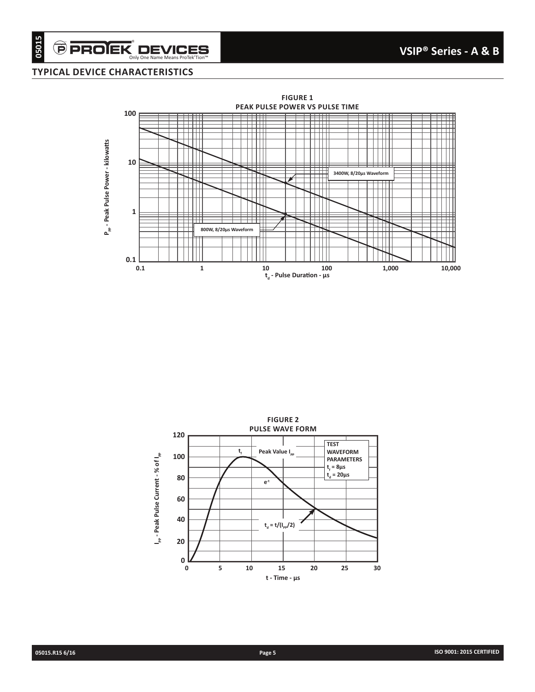$\widehat{\boldsymbol{\Theta}}$  PROIEK $\displaystyle\nonumber \operatorname*{D}\textbf{EVICES}\over \textrm{Only One Name Mean B for TekTion"}$ 



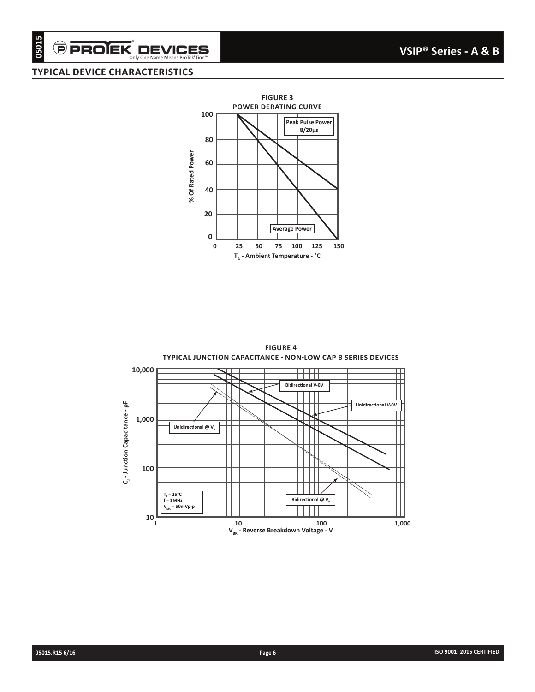# Only One Name Means ProTek'Tion™

## **TYPICAL DEVICE CHARACTERISTICS**



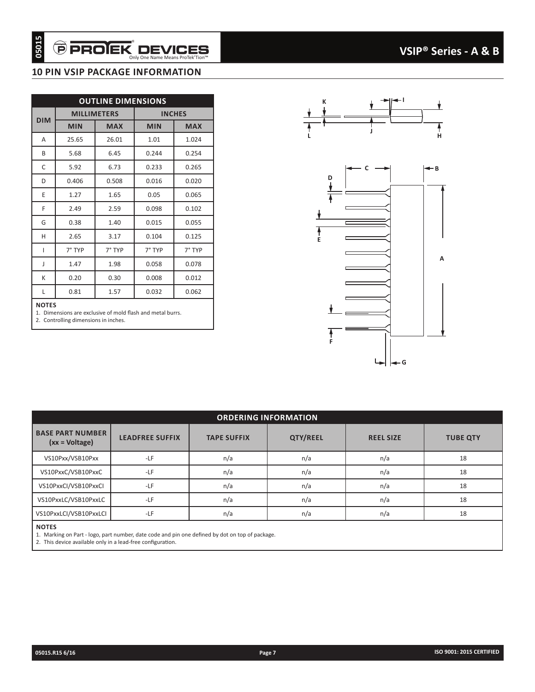### **10 PIN VSIP PACKAGE INFORMATION**

|                   | <b>MILLIMETERS</b>                           |            | <b>OUTLINE DIMENSIONS</b>                                           | <b>INCHES</b> |                      |  |
|-------------------|----------------------------------------------|------------|---------------------------------------------------------------------|---------------|----------------------|--|
| <b>DIM</b>        | <b>MIN</b>                                   | <b>MAX</b> | <b>MIN</b>                                                          | <b>MAX</b>    |                      |  |
| A                 | 25.65                                        | 26.01      | 1.01                                                                | 1.024         |                      |  |
| B                 | 5.68                                         | 6.45       | 0.244                                                               | 0.254         |                      |  |
| C                 | 5.92                                         | 6.73       | 0.233                                                               | 0.265         |                      |  |
| D                 | 0.406                                        | 0.508      | 0.016                                                               | 0.020         |                      |  |
| E                 | 1.27                                         | 1.65       | 0.05                                                                | 0.065         |                      |  |
| F                 | 2.49                                         | 2.59       | 0.098                                                               | 0.102         |                      |  |
| G                 | 0.38                                         | 1.40       | 0.015                                                               | 0.055         |                      |  |
| H                 | 2.65                                         | 3.17       | 0.104                                                               | 0.125         |                      |  |
| L                 | 7° TYP                                       | 7° TYP     | 7° TYP                                                              | 7° TYP        |                      |  |
| J                 | 1.47                                         | 1.98       | 0.058                                                               | 0.078         |                      |  |
| К                 | 0.20                                         | 0.30       | 0.008                                                               | 0.012         |                      |  |
|                   |                                              |            |                                                                     |               |                      |  |
| Г<br><b>NOTES</b> | 0.81<br>2. Controlling dimensions in inches. | 1.57       | 0.032<br>1. Dimensions are exclusive of mold flash and metal burrs. | 0.062         |                      |  |
|                   |                                              |            |                                                                     |               | <b>ORDERING INFO</b> |  |
|                   | <b>BASE PART NUMBER</b><br>(xx = Voltage)    |            | <b>LEADFREE SUFFIX</b>                                              |               | <b>TAPE SUFFIX</b>   |  |
|                   | VS10Pxx/VSB10Pxx                             |            | -LF                                                                 |               | n/a                  |  |
|                   | VS10PxxC/VSB10PxxC                           |            | -LF                                                                 |               | n/a                  |  |
|                   | VS10PxxCl/VSB10PxxCl                         |            | -LF                                                                 |               | n/a                  |  |
|                   | VS10PxxLC/VSB10PxxLC                         |            | -LF                                                                 |               | n/a                  |  |
|                   | VS10PxxLCI/VSB10PxxLCI                       |            | -LF                                                                 |               | n/a                  |  |



|                                             |                        |                                                                                                 | <b>ORDERING INFORMATION</b> |                  |                 |
|---------------------------------------------|------------------------|-------------------------------------------------------------------------------------------------|-----------------------------|------------------|-----------------|
| <b>BASE PART NUMBER</b><br>$(xx = Voltage)$ | <b>LEADFREE SUFFIX</b> | <b>TAPE SUFFIX</b>                                                                              | <b>QTY/REEL</b>             | <b>REEL SIZE</b> | <b>TUBE QTY</b> |
| VS10Pxx/VSB10Pxx                            | $-LF$                  | n/a                                                                                             | n/a                         | n/a              | 18              |
| VS10PxxC/VSB10PxxC                          | $-LF$                  | n/a                                                                                             | n/a                         | n/a              | 18              |
| VS10PxxCl/VSB10PxxCl                        | $-LF$                  | n/a                                                                                             | n/a                         | n/a              | 18              |
| VS10PxxLC/VSB10PxxLC                        | $-LF$                  | n/a                                                                                             | n/a                         | n/a              | 18              |
| VS10PxxLCI/VSB10PxxLCI                      | $-LF$                  | n/a                                                                                             | n/a                         | n/a              | 18              |
| <b>NOTES</b>                                |                        | 1. Marking on Part - logo, part number, date code and pin one defined by dot on top of package. |                             |                  |                 |